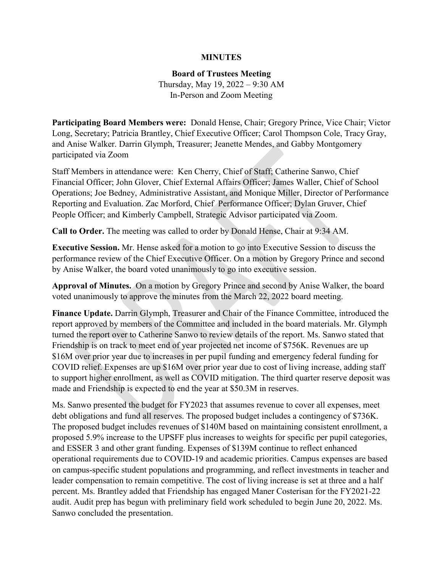## **MINUTES**

## **Board of Trustees Meeting**

Thursday, May 19, 2022 – 9:30 AM In-Person and Zoom Meeting

**Participating Board Members were:** Donald Hense, Chair; Gregory Prince, Vice Chair; Victor Long, Secretary; Patricia Brantley, Chief Executive Officer; Carol Thompson Cole, Tracy Gray, and Anise Walker. Darrin Glymph, Treasurer; Jeanette Mendes, and Gabby Montgomery participated via Zoom

Staff Members in attendance were: Ken Cherry, Chief of Staff; Catherine Sanwo, Chief Financial Officer; John Glover, Chief External Affairs Officer; James Waller, Chief of School Operations; Joe Bedney, Administrative Assistant, and Monique Miller, Director of Performance Reporting and Evaluation. Zac Morford, Chief Performance Officer; Dylan Gruver, Chief People Officer; and Kimberly Campbell, Strategic Advisor participated via Zoom.

**Call to Order.** The meeting was called to order by Donald Hense, Chair at 9:34 AM.

**Executive Session.** Mr. Hense asked for a motion to go into Executive Session to discuss the performance review of the Chief Executive Officer. On a motion by Gregory Prince and second by Anise Walker, the board voted unanimously to go into executive session.

**Approval of Minutes.** On a motion by Gregory Prince and second by Anise Walker, the board voted unanimously to approve the minutes from the March 22, 2022 board meeting.

**Finance Update.** Darrin Glymph, Treasurer and Chair of the Finance Committee, introduced the report approved by members of the Committee and included in the board materials. Mr. Glymph turned the report over to Catherine Sanwo to review details of the report. Ms. Sanwo stated that Friendship is on track to meet end of year projected net income of \$756K. Revenues are up \$16M over prior year due to increases in per pupil funding and emergency federal funding for COVID relief. Expenses are up \$16M over prior year due to cost of living increase, adding staff to support higher enrollment, as well as COVID mitigation. The third quarter reserve deposit was made and Friendship is expected to end the year at \$50.3M in reserves.

Ms. Sanwo presented the budget for FY2023 that assumes revenue to cover all expenses, meet debt obligations and fund all reserves. The proposed budget includes a contingency of \$736K. The proposed budget includes revenues of \$140M based on maintaining consistent enrollment, a proposed 5.9% increase to the UPSFF plus increases to weights for specific per pupil categories, and ESSER 3 and other grant funding. Expenses of \$139M continue to reflect enhanced operational requirements due to COVID-19 and academic priorities. Campus expenses are based on campus-specific student populations and programming, and reflect investments in teacher and leader compensation to remain competitive. The cost of living increase is set at three and a half percent. Ms. Brantley added that Friendship has engaged Maner Costerisan for the FY2021-22 audit. Audit prep has begun with preliminary field work scheduled to begin June 20, 2022. Ms. Sanwo concluded the presentation.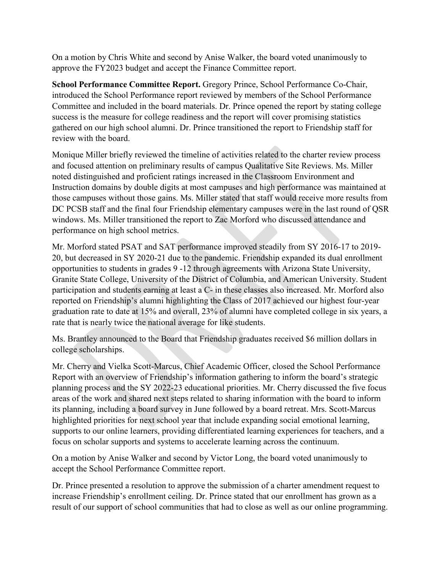On a motion by Chris White and second by Anise Walker, the board voted unanimously to approve the FY2023 budget and accept the Finance Committee report.

**School Performance Committee Report.** Gregory Prince, School Performance Co-Chair, introduced the School Performance report reviewed by members of the School Performance Committee and included in the board materials. Dr. Prince opened the report by stating college success is the measure for college readiness and the report will cover promising statistics gathered on our high school alumni. Dr. Prince transitioned the report to Friendship staff for review with the board.

Monique Miller briefly reviewed the timeline of activities related to the charter review process and focused attention on preliminary results of campus Qualitative Site Reviews. Ms. Miller noted distinguished and proficient ratings increased in the Classroom Environment and Instruction domains by double digits at most campuses and high performance was maintained at those campuses without those gains. Ms. Miller stated that staff would receive more results from DC PCSB staff and the final four Friendship elementary campuses were in the last round of QSR windows. Ms. Miller transitioned the report to Zac Morford who discussed attendance and performance on high school metrics.

Mr. Morford stated PSAT and SAT performance improved steadily from SY 2016-17 to 2019- 20, but decreased in SY 2020-21 due to the pandemic. Friendship expanded its dual enrollment opportunities to students in grades 9 -12 through agreements with Arizona State University, Granite State College, University of the District of Columbia, and American University. Student participation and students earning at least a C- in these classes also increased. Mr. Morford also reported on Friendship's alumni highlighting the Class of 2017 achieved our highest four-year graduation rate to date at 15% and overall, 23% of alumni have completed college in six years, a rate that is nearly twice the national average for like students.

Ms. Brantley announced to the Board that Friendship graduates received \$6 million dollars in college scholarships.

Mr. Cherry and Vielka Scott-Marcus, Chief Academic Officer, closed the School Performance Report with an overview of Friendship's information gathering to inform the board's strategic planning process and the SY 2022-23 educational priorities. Mr. Cherry discussed the five focus areas of the work and shared next steps related to sharing information with the board to inform its planning, including a board survey in June followed by a board retreat. Mrs. Scott-Marcus highlighted priorities for next school year that include expanding social emotional learning, supports to our online learners, providing differentiated learning experiences for teachers, and a focus on scholar supports and systems to accelerate learning across the continuum.

On a motion by Anise Walker and second by Victor Long, the board voted unanimously to accept the School Performance Committee report.

Dr. Prince presented a resolution to approve the submission of a charter amendment request to increase Friendship's enrollment ceiling. Dr. Prince stated that our enrollment has grown as a result of our support of school communities that had to close as well as our online programming.